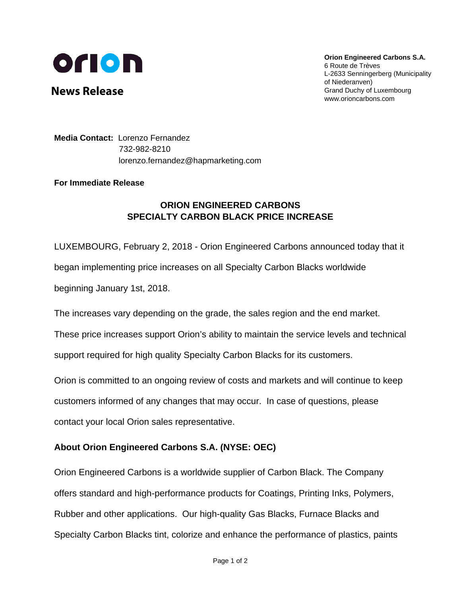

**News Release** 

**Orion Engineered Carbons S.A.**  6 Route de Trèves L-2633 Senningerberg (Municipality of Niederanven) Grand Duchy of Luxembourg www.orioncarbons.com

**Media Contact:** Lorenzo Fernandez 732-982-8210 lorenzo.fernandez@hapmarketing.com

## **For Immediate Release**

## **ORION ENGINEERED CARBONS SPECIALTY CARBON BLACK PRICE INCREASE**

LUXEMBOURG, February 2, 2018 - Orion Engineered Carbons announced today that it began implementing price increases on all Specialty Carbon Blacks worldwide beginning January 1st, 2018.

The increases vary depending on the grade, the sales region and the end market.

These price increases support Orion's ability to maintain the service levels and technical support required for high quality Specialty Carbon Blacks for its customers.

Orion is committed to an ongoing review of costs and markets and will continue to keep customers informed of any changes that may occur. In case of questions, please contact your local Orion sales representative.

## **About Orion Engineered Carbons S.A. (NYSE: OEC)**

Orion Engineered Carbons is a worldwide supplier of Carbon Black. The Company offers standard and high-performance products for Coatings, Printing Inks, Polymers, Rubber and other applications. Our high-quality Gas Blacks, Furnace Blacks and Specialty Carbon Blacks tint, colorize and enhance the performance of plastics, paints